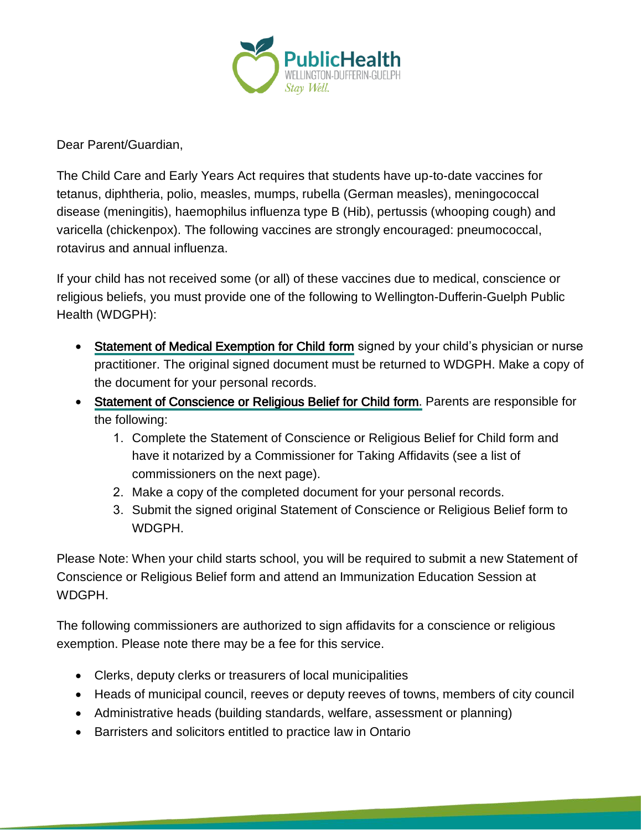

Dear Parent/Guardian,

The Child Care and Early Years Act requires that students have up-to-date vaccines for tetanus, diphtheria, polio, measles, mumps, rubella (German measles), meningococcal disease (meningitis), haemophilus influenza type B (Hib), pertussis (whooping cough) and varicella (chickenpox). The following vaccines are strongly encouraged: pneumococcal, rotavirus and annual influenza.

If your child has not received some (or all) of these vaccines due to medical, conscience or religious beliefs, you must provide one of the following to Wellington-Dufferin-Guelph Public Health (WDGPH):

- [Statement of Medical Exemption for Child form](http://www.forms.ssb.gov.on.ca/mbs/ssb/forms/ssbforms.nsf/FormDetail?OpenForm&ACT=RDR&TAB=PROFILE&SRCH=1&ENV=WWE&TIT=statement+of+medical+exemption&NO=010-3041E) signed by your child's physician or nurse practitioner. The original signed document must be returned to WDGPH. Make a copy of the document for your personal records.
- [Statement of Conscience or Religious Belief for Child form.](http://www.forms.ssb.gov.on.ca/mbs/ssb/forms/ssbforms.nsf/FormDetail?OpenForm&ACT=RDR&TAB=PROFILE&SRCH=&ENV=WWE&TIT=3042&NO=010-3042E) Parents are responsible for the following:
	- 1. Complete the Statement of Conscience or Religious Belief for Child form and have it notarized by a Commissioner for Taking Affidavits (see a list of commissioners on the next page).
	- 2. Make a copy of the completed document for your personal records.
	- 3. Submit the signed original Statement of Conscience or Religious Belief form to WDGPH.

Please Note: When your child starts school, you will be required to submit a new Statement of Conscience or Religious Belief form and attend an Immunization Education Session at WDGPH.

The following commissioners are authorized to sign affidavits for a conscience or religious exemption. Please note there may be a fee for this service.

- Clerks, deputy clerks or treasurers of local municipalities
- Heads of municipal council, reeves or deputy reeves of towns, members of city council

<u>a shekara ta 1989 a Tanzaniya Marejeo a Tanzaniya Marejeo a Tanzaniya Marejeo a Tanzaniya Marejeo a Tanzaniya </u>

- Administrative heads (building standards, welfare, assessment or planning)
- Barristers and solicitors entitled to practice law in Ontario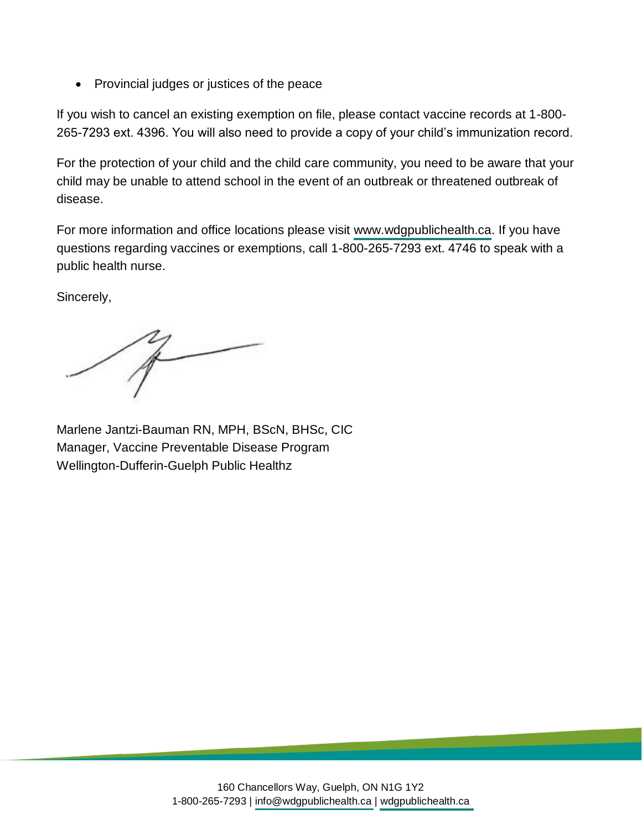• Provincial judges or justices of the peace

If you wish to cancel an existing exemption on file, please contact vaccine records at 1-800- 265-7293 ext. 4396. You will also need to provide a copy of your child's immunization record.

For the protection of your child and the child care community, you need to be aware that your child may be unable to attend school in the event of an outbreak or threatened outbreak of disease.

For more information and office locations please visit [www.wdgpublichealth.ca.](http://www.wdgpublichealth.ca) If you have questions regarding vaccines or exemptions, call 1-800-265-7293 ext. 4746 to speak with a public health nurse.

Sincerely,

Marlene Jantzi-Bauman RN, MPH, BScN, BHSc, CIC Manager, Vaccine Preventable Disease Program Wellington-Dufferin-Guelph Public Healthz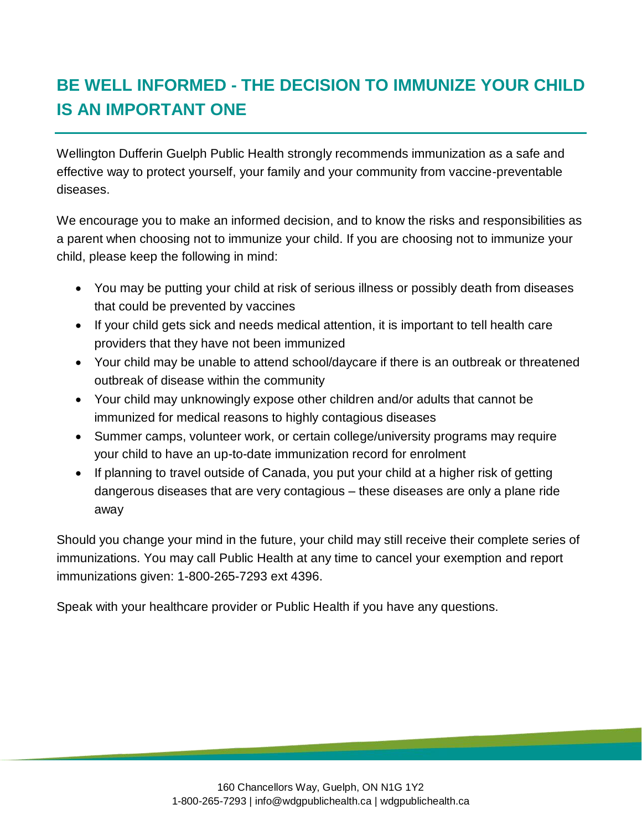# **BE WELL INFORMED - THE DECISION TO IMMUNIZE YOUR CHILD IS AN IMPORTANT ONE**

Wellington Dufferin Guelph Public Health strongly recommends immunization as a safe and effective way to protect yourself, your family and your community from vaccine-preventable diseases.

We encourage you to make an informed decision, and to know the risks and responsibilities as a parent when choosing not to immunize your child. If you are choosing not to immunize your child, please keep the following in mind:

- You may be putting your child at risk of serious illness or possibly death from diseases that could be prevented by vaccines
- If your child gets sick and needs medical attention, it is important to tell health care providers that they have not been immunized
- Your child may be unable to attend school/daycare if there is an outbreak or threatened outbreak of disease within the community
- Your child may unknowingly expose other children and/or adults that cannot be immunized for medical reasons to highly contagious diseases
- Summer camps, volunteer work, or certain college/university programs may require your child to have an up-to-date immunization record for enrolment
- If planning to travel outside of Canada, you put your child at a higher risk of getting dangerous diseases that are very contagious – these diseases are only a plane ride away

Should you change your mind in the future, your child may still receive their complete series of immunizations. You may call Public Health at any time to cancel your exemption and report immunizations given: 1-800-265-7293 ext 4396.

Speak with your healthcare provider or Public Health if you have any questions.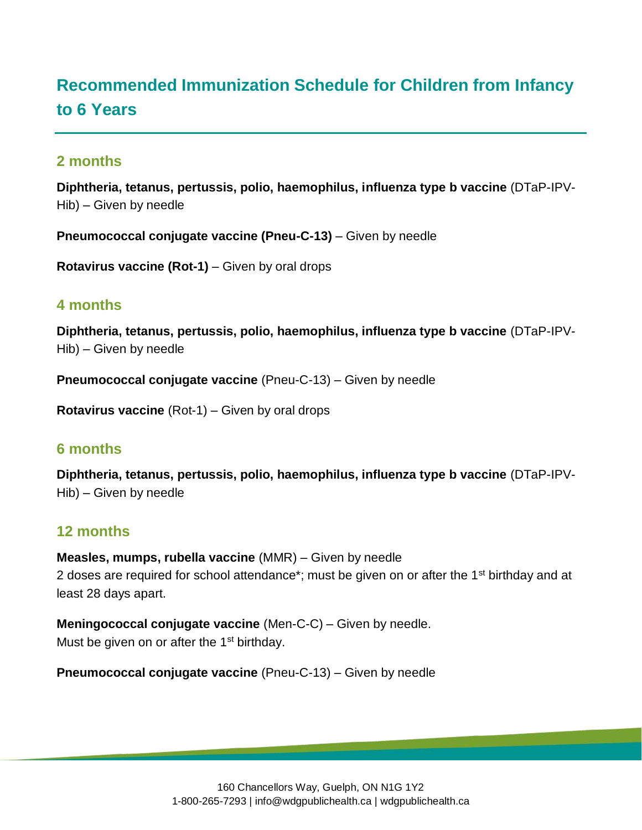# **Recommended Immunization Schedule for Children from Infancy to 6 Years**

# **2 months**

**Diphtheria, tetanus, pertussis, polio, haemophilus, influenza type b vaccine** (DTaP-IPV-Hib) – Given by needle

**Pneumococcal conjugate vaccine (Pneu-C-13)** – Given by needle

**Rotavirus vaccine (Rot-1)** – Given by oral drops

#### **4 months**

**Diphtheria, tetanus, pertussis, polio, haemophilus, influenza type b vaccine** (DTaP-IPV-Hib) – Given by needle

**Pneumococcal conjugate vaccine** (Pneu-C-13) – Given by needle

**Rotavirus vaccine** (Rot-1) – Given by oral drops

### **6 months**

**Diphtheria, tetanus, pertussis, polio, haemophilus, influenza type b vaccine** (DTaP-IPV-Hib) – Given by needle

### **12 months**

**Measles, mumps, rubella vaccine** (MMR) – Given by needle 2 doses are required for school attendance<sup>\*</sup>; must be given on or after the 1<sup>st</sup> birthday and at least 28 days apart.

**Meningococcal conjugate vaccine** (Men-C-C) – Given by needle. Must be given on or after the 1<sup>st</sup> birthday.

**Pneumococcal conjugate vaccine** (Pneu-C-13) – Given by needle